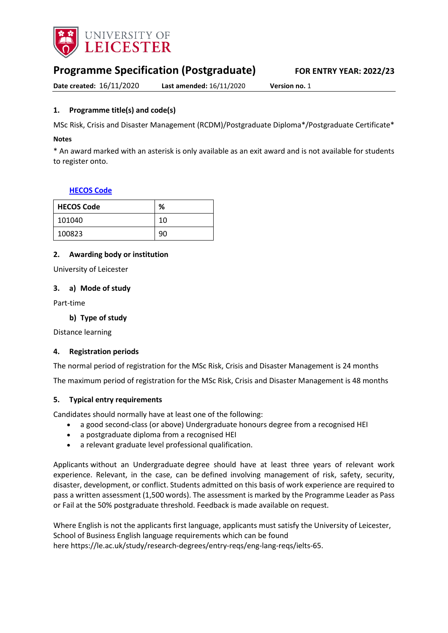

# **Programme Specification (Postgraduate) FOR ENTRY YEAR: 2022/23**

**Date created:** 16/11/2020 **Last amended:** 16/11/2020 **Version no.** 1

# <span id="page-0-0"></span>**1. Programme title(s) and code(s)**

MSc Risk, Crisis and Disaster Management (RCDM)/Postgraduate Diploma\*/Postgraduate Certificate\*

#### **Notes**

\* An award marked with an asterisk is only available as an exit award and is not available for students to register onto.

#### **[HECOS Code](https://www.hesa.ac.uk/innovation/hecos)**

| <b>HECOS Code</b> | %  |
|-------------------|----|
| 101040            | 10 |
| 100823            | 90 |

# **2. Awarding body or institution**

University of Leicester

#### **3. a) Mode of study**

Part-time

#### **b) Type of study**

Distance learning

#### **4. Registration periods**

The normal period of registration for the MSc Risk, Crisis and Disaster Management is 24 months

The maximum period of registration for the MSc Risk, Crisis and Disaster Management is 48 months

#### **5. Typical entry requirements**

Candidates should normally have at least one of the following:

- a good second-class (or above) Undergraduate honours degree from a recognised HEI
- a postgraduate diploma from a recognised HEI
- a relevant graduate level professional qualification.

Applicants without an Undergraduate degree should have at least three years of relevant work experience. Relevant, in the case, can be defined involving management of risk, safety, security, disaster, development, or conflict. Students admitted on this basis of work experience are required to pass a written assessment (1,500 words). The assessment is marked by the Programme Leader as Pass or Fail at the 50% postgraduate threshold. Feedback is made available on request.

Where English is not the applicants first language, applicants must satisfy the University of Leicester, School of Business English language requirements which can be found here https://le.ac.uk/study/research-degrees/entry-reqs/eng-lang-reqs/ielts-65.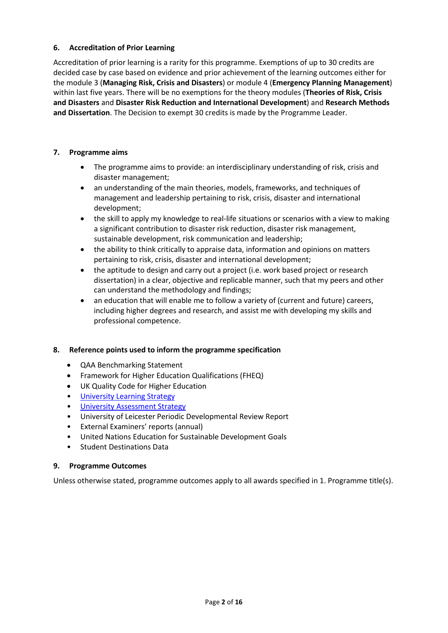# **6. Accreditation of Prior Learning**

Accreditation of prior learning is a rarity for this programme. Exemptions of up to 30 credits are decided case by case based on evidence and prior achievement of the learning outcomes either for the module 3 (**Managing Risk, Crisis and Disasters**) or module 4 (**Emergency Planning Management**) within last five years. There will be no exemptions for the theory modules (**Theories of Risk, Crisis and Disasters** and **Disaster Risk Reduction and International Development**) and **Research Methods and Dissertation**. The Decision to exempt 30 credits is made by the Programme Leader.

### **7. Programme aims**

- The programme aims to provide: an interdisciplinary understanding of risk, crisis and disaster management;
- an understanding of the main theories, models, frameworks, and techniques of management and leadership pertaining to risk, crisis, disaster and international development;
- the skill to apply my knowledge to real-life situations or scenarios with a view to making a significant contribution to disaster risk reduction, disaster risk management, sustainable development, risk communication and leadership;
- the ability to think critically to appraise data, information and opinions on matters pertaining to risk, crisis, disaster and international development;
- the aptitude to design and carry out a project (i.e. work based project or research dissertation) in a clear, objective and replicable manner, such that my peers and other can understand the methodology and findings;
- an education that will enable me to follow a variety of (current and future) careers, including higher degrees and research, and assist me with developing my skills and professional competence.

# **8. Reference points used to inform the programme specification**

- QAA Benchmarking Statement
- Framework for Higher Education Qualifications (FHEQ)
- UK Quality Code for Higher Education
- [University Learning](https://www2.le.ac.uk/offices/sas2/quality/learnteach) Strategy
- [University Assessment Strategy](https://www2.le.ac.uk/offices/sas2/quality/learnteach)
- University of Leicester Periodic Developmental Review Report
- External Examiners' reports (annual)
- United Nations Education for Sustainable Development Goals
- Student Destinations Data

#### **9. Programme Outcomes**

Unless otherwise stated, programme outcomes apply to all awards specified in [1.](#page-0-0) Programme title(s).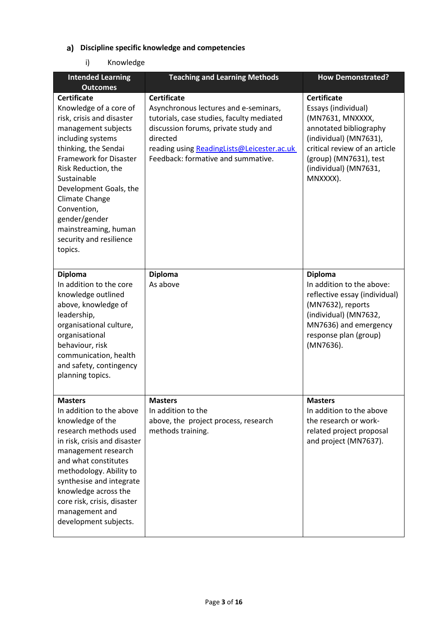# **Discipline specific knowledge and competencies**

i) Knowledge

| <b>Intended Learning</b><br><b>Outcomes</b>                                                                                                                                                                                                                                                                                                                    | <b>Teaching and Learning Methods</b>                                                                                                                                                                                                             | <b>How Demonstrated?</b>                                                                                                                                                                                          |
|----------------------------------------------------------------------------------------------------------------------------------------------------------------------------------------------------------------------------------------------------------------------------------------------------------------------------------------------------------------|--------------------------------------------------------------------------------------------------------------------------------------------------------------------------------------------------------------------------------------------------|-------------------------------------------------------------------------------------------------------------------------------------------------------------------------------------------------------------------|
| <b>Certificate</b><br>Knowledge of a core of<br>risk, crisis and disaster<br>management subjects<br>including systems<br>thinking, the Sendai<br><b>Framework for Disaster</b><br>Risk Reduction, the<br>Sustainable<br>Development Goals, the<br>Climate Change<br>Convention,<br>gender/gender<br>mainstreaming, human<br>security and resilience<br>topics. | <b>Certificate</b><br>Asynchronous lectures and e-seminars,<br>tutorials, case studies, faculty mediated<br>discussion forums, private study and<br>directed<br>reading using ReadingLists@Leicester.ac.uk<br>Feedback: formative and summative. | <b>Certificate</b><br>Essays (individual)<br>(MN7631, MNXXXX,<br>annotated bibliography<br>(individual) (MN7631),<br>critical review of an article<br>(group) (MN7631), test<br>(individual) (MN7631,<br>MNXXXX). |
| <b>Diploma</b><br>In addition to the core<br>knowledge outlined<br>above, knowledge of<br>leadership,<br>organisational culture,<br>organisational<br>behaviour, risk<br>communication, health<br>and safety, contingency<br>planning topics.                                                                                                                  | <b>Diploma</b><br>As above                                                                                                                                                                                                                       | <b>Diploma</b><br>In addition to the above:<br>reflective essay (individual)<br>(MN7632), reports<br>(individual) (MN7632,<br>MN7636) and emergency<br>response plan (group)<br>(MN7636).                         |
| <b>Masters</b><br>In addition to the above<br>knowledge of the<br>research methods used<br>in risk, crisis and disaster<br>management research<br>and what constitutes<br>methodology. Ability to<br>synthesise and integrate<br>knowledge across the<br>core risk, crisis, disaster<br>management and<br>development subjects.                                | <b>Masters</b><br>In addition to the<br>above, the project process, research<br>methods training.                                                                                                                                                | <b>Masters</b><br>In addition to the above<br>the research or work-<br>related project proposal<br>and project (MN7637).                                                                                          |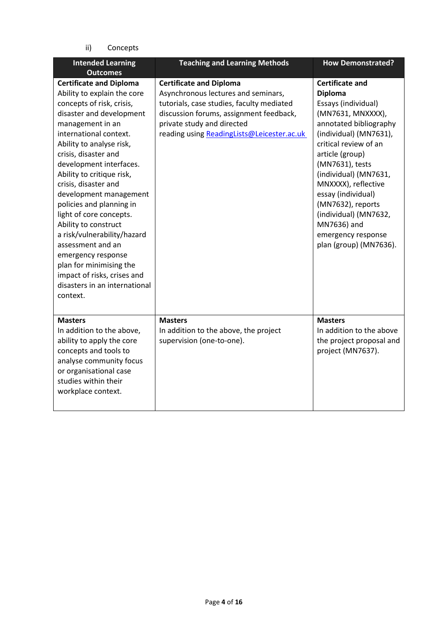ii) Concepts

| <b>Intended Learning</b><br><b>Outcomes</b>                                                                                                                                                                                                                                                                                                                                                                                                                                                                                                                                                        | <b>Teaching and Learning Methods</b>                                                                                                                                                                                                      | <b>How Demonstrated?</b>                                                                                                                                                                                                                                                                                                                                                                   |
|----------------------------------------------------------------------------------------------------------------------------------------------------------------------------------------------------------------------------------------------------------------------------------------------------------------------------------------------------------------------------------------------------------------------------------------------------------------------------------------------------------------------------------------------------------------------------------------------------|-------------------------------------------------------------------------------------------------------------------------------------------------------------------------------------------------------------------------------------------|--------------------------------------------------------------------------------------------------------------------------------------------------------------------------------------------------------------------------------------------------------------------------------------------------------------------------------------------------------------------------------------------|
| <b>Certificate and Diploma</b><br>Ability to explain the core<br>concepts of risk, crisis,<br>disaster and development<br>management in an<br>international context.<br>Ability to analyse risk,<br>crisis, disaster and<br>development interfaces.<br>Ability to critique risk,<br>crisis, disaster and<br>development management<br>policies and planning in<br>light of core concepts.<br>Ability to construct<br>a risk/vulnerability/hazard<br>assessment and an<br>emergency response<br>plan for minimising the<br>impact of risks, crises and<br>disasters in an international<br>context. | <b>Certificate and Diploma</b><br>Asynchronous lectures and seminars,<br>tutorials, case studies, faculty mediated<br>discussion forums, assignment feedback,<br>private study and directed<br>reading using ReadingLists@Leicester.ac.uk | <b>Certificate and</b><br><b>Diploma</b><br>Essays (individual)<br>(MN7631, MNXXXX),<br>annotated bibliography<br>(individual) (MN7631),<br>critical review of an<br>article (group)<br>(MN7631), tests<br>(individual) (MN7631,<br>MNXXXX), reflective<br>essay (individual)<br>(MN7632), reports<br>(individual) (MN7632,<br>MN7636) and<br>emergency response<br>plan (group) (MN7636). |
| <b>Masters</b><br>In addition to the above,<br>ability to apply the core<br>concepts and tools to<br>analyse community focus<br>or organisational case<br>studies within their<br>workplace context.                                                                                                                                                                                                                                                                                                                                                                                               | <b>Masters</b><br>In addition to the above, the project<br>supervision (one-to-one).                                                                                                                                                      | <b>Masters</b><br>In addition to the above<br>the project proposal and<br>project (MN7637).                                                                                                                                                                                                                                                                                                |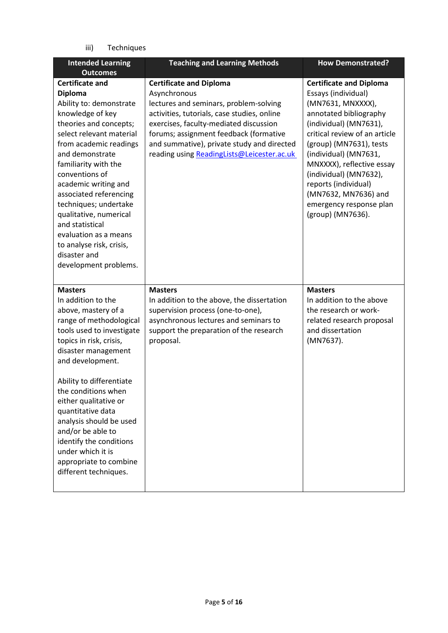iii) Techniques

| <b>Intended Learning</b><br><b>Outcomes</b>                                                                                                                                                                                                                                                                                                                                                                                                                | <b>Teaching and Learning Methods</b>                                                                                                                                                                                                                                                                                    | <b>How Demonstrated?</b>                                                                                                                                                                                                                                                                                                                                                   |
|------------------------------------------------------------------------------------------------------------------------------------------------------------------------------------------------------------------------------------------------------------------------------------------------------------------------------------------------------------------------------------------------------------------------------------------------------------|-------------------------------------------------------------------------------------------------------------------------------------------------------------------------------------------------------------------------------------------------------------------------------------------------------------------------|----------------------------------------------------------------------------------------------------------------------------------------------------------------------------------------------------------------------------------------------------------------------------------------------------------------------------------------------------------------------------|
| <b>Certificate and</b><br><b>Diploma</b><br>Ability to: demonstrate<br>knowledge of key<br>theories and concepts;<br>select relevant material<br>from academic readings<br>and demonstrate<br>familiarity with the<br>conventions of<br>academic writing and<br>associated referencing<br>techniques; undertake<br>qualitative, numerical<br>and statistical<br>evaluation as a means<br>to analyse risk, crisis,<br>disaster and<br>development problems. | <b>Certificate and Diploma</b><br>Asynchronous<br>lectures and seminars, problem-solving<br>activities, tutorials, case studies, online<br>exercises, faculty-mediated discussion<br>forums; assignment feedback (formative<br>and summative), private study and directed<br>reading using ReadingLists@Leicester.ac.uk | <b>Certificate and Diploma</b><br>Essays (individual)<br>(MN7631, MNXXXX),<br>annotated bibliography<br>(individual) (MN7631),<br>critical review of an article<br>(group) (MN7631), tests<br>(individual) (MN7631,<br>MNXXXX), reflective essay<br>(individual) (MN7632),<br>reports (individual)<br>(MN7632, MN7636) and<br>emergency response plan<br>(group) (MN7636). |
| <b>Masters</b><br>In addition to the<br>above, mastery of a<br>range of methodological<br>tools used to investigate<br>topics in risk, crisis,<br>disaster management<br>and development.<br>Ability to differentiate<br>the conditions when<br>either qualitative or<br>quantitative data<br>analysis should be used<br>and/or be able to<br>identify the conditions<br>under which it is<br>appropriate to combine<br>different techniques.              | <b>Masters</b><br>In addition to the above, the dissertation<br>supervision process (one-to-one),<br>asynchronous lectures and seminars to<br>support the preparation of the research<br>proposal.                                                                                                                      | <b>Masters</b><br>In addition to the above<br>the research or work-<br>related research proposal<br>and dissertation<br>(MN7637).                                                                                                                                                                                                                                          |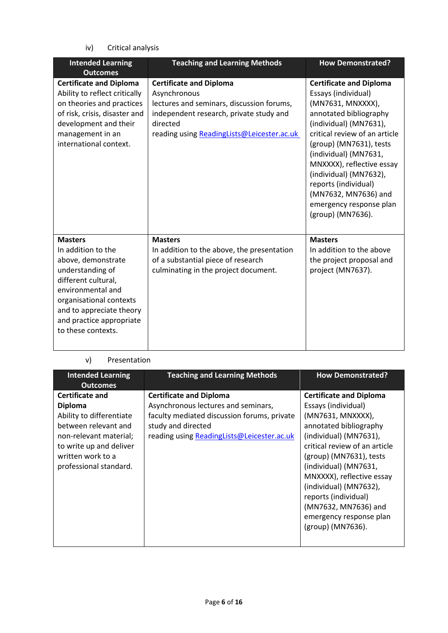iv) Critical analysis

| <b>Intended Learning</b><br><b>Outcomes</b>                                                                                                                                                                                         | <b>Teaching and Learning Methods</b>                                                                                                                                                             | <b>How Demonstrated?</b>                                                                                                                                                                                                                                                                                                                                                   |
|-------------------------------------------------------------------------------------------------------------------------------------------------------------------------------------------------------------------------------------|--------------------------------------------------------------------------------------------------------------------------------------------------------------------------------------------------|----------------------------------------------------------------------------------------------------------------------------------------------------------------------------------------------------------------------------------------------------------------------------------------------------------------------------------------------------------------------------|
| <b>Certificate and Diploma</b><br>Ability to reflect critically<br>on theories and practices<br>of risk, crisis, disaster and<br>development and their<br>management in an<br>international context.                                | <b>Certificate and Diploma</b><br>Asynchronous<br>lectures and seminars, discussion forums,<br>independent research, private study and<br>directed<br>reading using ReadingLists@Leicester.ac.uk | <b>Certificate and Diploma</b><br>Essays (individual)<br>(MN7631, MNXXXX),<br>annotated bibliography<br>(individual) (MN7631),<br>critical review of an article<br>(group) (MN7631), tests<br>(individual) (MN7631,<br>MNXXXX), reflective essay<br>(individual) (MN7632),<br>reports (individual)<br>(MN7632, MN7636) and<br>emergency response plan<br>(group) (MN7636). |
| <b>Masters</b><br>In addition to the<br>above, demonstrate<br>understanding of<br>different cultural,<br>environmental and<br>organisational contexts<br>and to appreciate theory<br>and practice appropriate<br>to these contexts. | <b>Masters</b><br>In addition to the above, the presentation<br>of a substantial piece of research<br>culminating in the project document.                                                       | <b>Masters</b><br>In addition to the above<br>the project proposal and<br>project (MN7637).                                                                                                                                                                                                                                                                                |

# v) Presentation

| <b>Intended Learning</b><br><b>Outcomes</b>                                                                                                                                                      | <b>Teaching and Learning Methods</b>                                                                                                                                                     | <b>How Demonstrated?</b>                                                                                                                                                                                                                                                                                                                                                   |
|--------------------------------------------------------------------------------------------------------------------------------------------------------------------------------------------------|------------------------------------------------------------------------------------------------------------------------------------------------------------------------------------------|----------------------------------------------------------------------------------------------------------------------------------------------------------------------------------------------------------------------------------------------------------------------------------------------------------------------------------------------------------------------------|
| <b>Certificate and</b><br><b>Diploma</b><br>Ability to differentiate<br>between relevant and<br>non-relevant material;<br>to write up and deliver<br>written work to a<br>professional standard. | <b>Certificate and Diploma</b><br>Asynchronous lectures and seminars,<br>faculty mediated discussion forums, private<br>study and directed<br>reading using ReadingLists@Leicester.ac.uk | <b>Certificate and Diploma</b><br>Essays (individual)<br>(MN7631, MNXXXX),<br>annotated bibliography<br>(individual) (MN7631),<br>critical review of an article<br>(group) (MN7631), tests<br>(individual) (MN7631,<br>MNXXXX), reflective essay<br>(individual) (MN7632),<br>reports (individual)<br>(MN7632, MN7636) and<br>emergency response plan<br>(group) (MN7636). |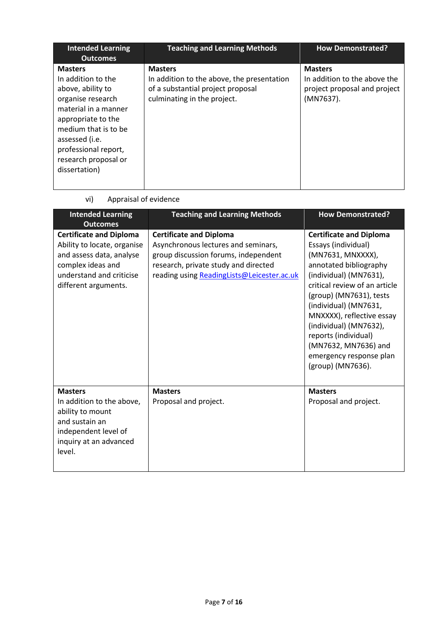| <b>Intended Learning</b><br><b>Outcomes</b>                                                                                                                                                                                             | <b>Teaching and Learning Methods</b>                                                                                             | <b>How Demonstrated?</b>                                                                    |
|-----------------------------------------------------------------------------------------------------------------------------------------------------------------------------------------------------------------------------------------|----------------------------------------------------------------------------------------------------------------------------------|---------------------------------------------------------------------------------------------|
| <b>Masters</b><br>In addition to the<br>above, ability to<br>organise research<br>material in a manner<br>appropriate to the<br>medium that is to be<br>assessed (i.e.<br>professional report,<br>research proposal or<br>dissertation) | <b>Masters</b><br>In addition to the above, the presentation<br>of a substantial project proposal<br>culminating in the project. | <b>Masters</b><br>In addition to the above the<br>project proposal and project<br>(MN7637). |

vi) Appraisal of evidence

| <b>Intended Learning</b>                                                                                                                                           | <b>Teaching and Learning Methods</b>                                                                                                                                                                | <b>How Demonstrated?</b>                                                                                                                                                                                                                                                                                                                                                   |
|--------------------------------------------------------------------------------------------------------------------------------------------------------------------|-----------------------------------------------------------------------------------------------------------------------------------------------------------------------------------------------------|----------------------------------------------------------------------------------------------------------------------------------------------------------------------------------------------------------------------------------------------------------------------------------------------------------------------------------------------------------------------------|
| <b>Outcomes</b>                                                                                                                                                    |                                                                                                                                                                                                     |                                                                                                                                                                                                                                                                                                                                                                            |
| <b>Certificate and Diploma</b><br>Ability to locate, organise<br>and assess data, analyse<br>complex ideas and<br>understand and criticise<br>different arguments. | <b>Certificate and Diploma</b><br>Asynchronous lectures and seminars,<br>group discussion forums, independent<br>research, private study and directed<br>reading using ReadingLists@Leicester.ac.uk | <b>Certificate and Diploma</b><br>Essays (individual)<br>(MN7631, MNXXXX),<br>annotated bibliography<br>(individual) (MN7631),<br>critical review of an article<br>(group) (MN7631), tests<br>(individual) (MN7631,<br>MNXXXX), reflective essay<br>(individual) (MN7632),<br>reports (individual)<br>(MN7632, MN7636) and<br>emergency response plan<br>(group) (MN7636). |
| <b>Masters</b><br>In addition to the above,<br>ability to mount<br>and sustain an<br>independent level of<br>inquiry at an advanced<br>level.                      | <b>Masters</b><br>Proposal and project.                                                                                                                                                             | <b>Masters</b><br>Proposal and project.                                                                                                                                                                                                                                                                                                                                    |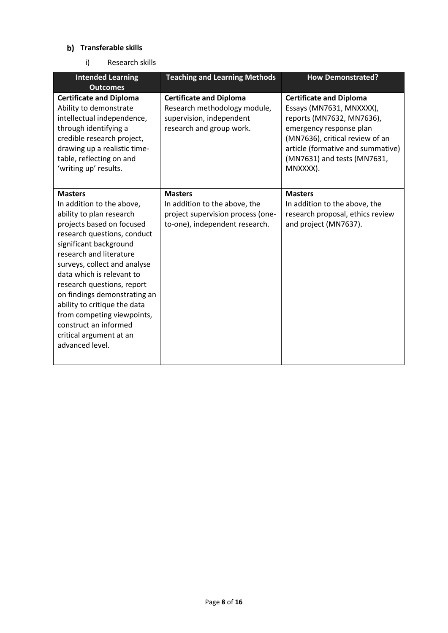# **Transferable skills**

i) Research skills

| <b>Intended Learning</b><br><b>Outcomes</b>                                                                                                                                                                                                                                                                                                                                                                                                              | <b>Teaching and Learning Methods</b>                                                                                   | <b>How Demonstrated?</b>                                                                                                                                                                                                              |
|----------------------------------------------------------------------------------------------------------------------------------------------------------------------------------------------------------------------------------------------------------------------------------------------------------------------------------------------------------------------------------------------------------------------------------------------------------|------------------------------------------------------------------------------------------------------------------------|---------------------------------------------------------------------------------------------------------------------------------------------------------------------------------------------------------------------------------------|
| <b>Certificate and Diploma</b><br>Ability to demonstrate<br>intellectual independence,<br>through identifying a<br>credible research project,<br>drawing up a realistic time-<br>table, reflecting on and<br>'writing up' results.                                                                                                                                                                                                                       | <b>Certificate and Diploma</b><br>Research methodology module,<br>supervision, independent<br>research and group work. | <b>Certificate and Diploma</b><br>Essays (MN7631, MNXXXX),<br>reports (MN7632, MN7636),<br>emergency response plan<br>(MN7636), critical review of an<br>article (formative and summative)<br>(MN7631) and tests (MN7631,<br>MNXXXX). |
| <b>Masters</b><br>In addition to the above,<br>ability to plan research<br>projects based on focused<br>research questions, conduct<br>significant background<br>research and literature<br>surveys, collect and analyse<br>data which is relevant to<br>research questions, report<br>on findings demonstrating an<br>ability to critique the data<br>from competing viewpoints,<br>construct an informed<br>critical argument at an<br>advanced level. | <b>Masters</b><br>In addition to the above, the<br>project supervision process (one-<br>to-one), independent research. | <b>Masters</b><br>In addition to the above, the<br>research proposal, ethics review<br>and project (MN7637).                                                                                                                          |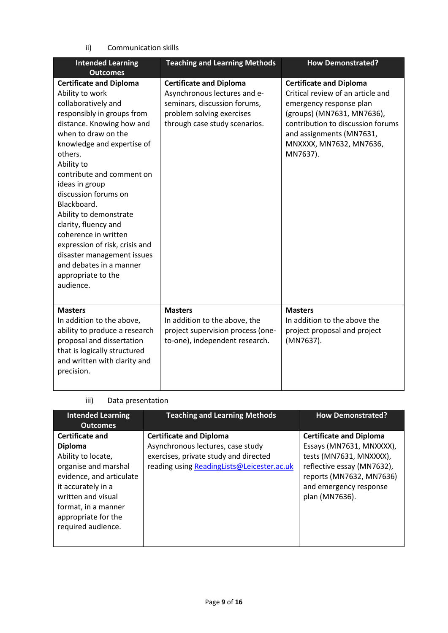# ii) Communication skills

| <b>Intended Learning</b><br><b>Outcomes</b>                                                                                                                                                                                                                                                                                                                                                                                                                                                                     | <b>Teaching and Learning Methods</b>                                                                                                                         | <b>How Demonstrated?</b>                                                                                                                                                                                                             |
|-----------------------------------------------------------------------------------------------------------------------------------------------------------------------------------------------------------------------------------------------------------------------------------------------------------------------------------------------------------------------------------------------------------------------------------------------------------------------------------------------------------------|--------------------------------------------------------------------------------------------------------------------------------------------------------------|--------------------------------------------------------------------------------------------------------------------------------------------------------------------------------------------------------------------------------------|
| <b>Certificate and Diploma</b><br>Ability to work<br>collaboratively and<br>responsibly in groups from<br>distance. Knowing how and<br>when to draw on the<br>knowledge and expertise of<br>others.<br>Ability to<br>contribute and comment on<br>ideas in group<br>discussion forums on<br>Blackboard.<br>Ability to demonstrate<br>clarity, fluency and<br>coherence in written<br>expression of risk, crisis and<br>disaster management issues<br>and debates in a manner<br>appropriate to the<br>audience. | <b>Certificate and Diploma</b><br>Asynchronous lectures and e-<br>seminars, discussion forums,<br>problem solving exercises<br>through case study scenarios. | <b>Certificate and Diploma</b><br>Critical review of an article and<br>emergency response plan<br>(groups) (MN7631, MN7636),<br>contribution to discussion forums<br>and assignments (MN7631,<br>MNXXXX, MN7632, MN7636,<br>MN7637). |
| <b>Masters</b><br>In addition to the above,<br>ability to produce a research<br>proposal and dissertation<br>that is logically structured<br>and written with clarity and<br>precision.                                                                                                                                                                                                                                                                                                                         | <b>Masters</b><br>In addition to the above, the<br>project supervision process (one-<br>to-one), independent research.                                       | <b>Masters</b><br>In addition to the above the<br>project proposal and project<br>(MN7637).                                                                                                                                          |

# iii) Data presentation

| <b>Intended Learning</b><br><b>Outcomes</b>                                                                                                                                                                                        | <b>Teaching and Learning Methods</b>                                                                                                                       | <b>How Demonstrated?</b>                                                                                                                                                                    |
|------------------------------------------------------------------------------------------------------------------------------------------------------------------------------------------------------------------------------------|------------------------------------------------------------------------------------------------------------------------------------------------------------|---------------------------------------------------------------------------------------------------------------------------------------------------------------------------------------------|
| <b>Certificate and</b><br><b>Diploma</b><br>Ability to locate,<br>organise and marshal<br>evidence, and articulate<br>it accurately in a<br>written and visual<br>format, in a manner<br>appropriate for the<br>required audience. | <b>Certificate and Diploma</b><br>Asynchronous lectures, case study<br>exercises, private study and directed<br>reading using ReadingLists@Leicester.ac.uk | <b>Certificate and Diploma</b><br>Essays (MN7631, MNXXXX),<br>tests (MN7631, MNXXXX),<br>reflective essay (MN7632),<br>reports (MN7632, MN7636)<br>and emergency response<br>plan (MN7636). |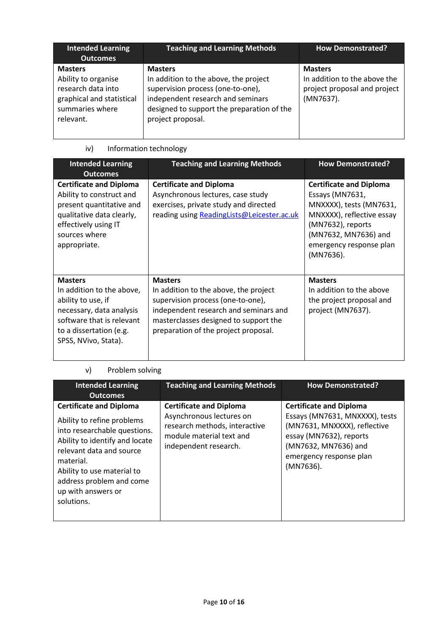| <b>Intended Learning</b><br><b>Outcomes</b>                                                                              | <b>Teaching and Learning Methods</b>                                                                                                                                                                 | <b>How Demonstrated?</b>                                                                    |
|--------------------------------------------------------------------------------------------------------------------------|------------------------------------------------------------------------------------------------------------------------------------------------------------------------------------------------------|---------------------------------------------------------------------------------------------|
| <b>Masters</b><br>Ability to organise<br>research data into<br>graphical and statistical<br>summaries where<br>relevant. | <b>Masters</b><br>In addition to the above, the project<br>supervision process (one-to-one),<br>independent research and seminars<br>designed to support the preparation of the<br>project proposal. | <b>Masters</b><br>In addition to the above the<br>project proposal and project<br>(MN7637). |

| <b>Intended Learning</b><br><b>Outcomes</b>                                                                                                                                   | <b>Teaching and Learning Methods</b>                                                                                                                                                                                   | <b>How Demonstrated?</b>                                                                                                                                                                       |
|-------------------------------------------------------------------------------------------------------------------------------------------------------------------------------|------------------------------------------------------------------------------------------------------------------------------------------------------------------------------------------------------------------------|------------------------------------------------------------------------------------------------------------------------------------------------------------------------------------------------|
| <b>Certificate and Diploma</b><br>Ability to construct and<br>present quantitative and<br>qualitative data clearly,<br>effectively using IT<br>sources where<br>appropriate.  | <b>Certificate and Diploma</b><br>Asynchronous lectures, case study<br>exercises, private study and directed<br>reading using ReadingLists@Leicester.ac.uk                                                             | <b>Certificate and Diploma</b><br>Essays (MN7631,<br>MNXXXX), tests (MN7631,<br>MNXXXX), reflective essay<br>(MN7632), reports<br>(MN7632, MN7636) and<br>emergency response plan<br>(MN7636). |
| <b>Masters</b><br>In addition to the above,<br>ability to use, if<br>necessary, data analysis<br>software that is relevant<br>to a dissertation (e.g.<br>SPSS, NVivo, Stata). | <b>Masters</b><br>In addition to the above, the project<br>supervision process (one-to-one),<br>independent research and seminars and<br>masterclasses designed to support the<br>preparation of the project proposal. | <b>Masters</b><br>In addition to the above<br>the project proposal and<br>project (MN7637).                                                                                                    |

# iv) Information technology

# v) Problem solving

| <b>Intended Learning</b><br><b>Outcomes</b>                                                                                                                                                                                                                           | <b>Teaching and Learning Methods</b>                                                                                                             | <b>How Demonstrated?</b>                                                                                                                                                                    |
|-----------------------------------------------------------------------------------------------------------------------------------------------------------------------------------------------------------------------------------------------------------------------|--------------------------------------------------------------------------------------------------------------------------------------------------|---------------------------------------------------------------------------------------------------------------------------------------------------------------------------------------------|
| <b>Certificate and Diploma</b><br>Ability to refine problems<br>into researchable questions.<br>Ability to identify and locate<br>relevant data and source<br>material.<br>Ability to use material to<br>address problem and come<br>up with answers or<br>solutions. | <b>Certificate and Diploma</b><br>Asynchronous lectures on<br>research methods, interactive<br>module material text and<br>independent research. | <b>Certificate and Diploma</b><br>Essays (MN7631, MNXXXX), tests<br>(MN7631, MNXXXX), reflective<br>essay (MN7632), reports<br>(MN7632, MN7636) and<br>emergency response plan<br>(MN7636). |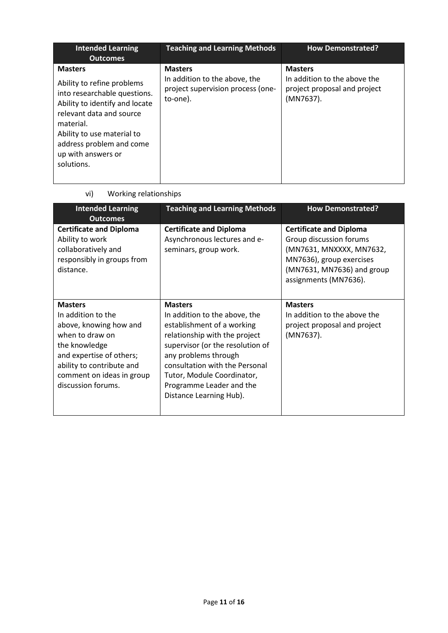| <b>Intended Learning</b><br><b>Outcomes</b>                                                                                                                                                                                                           | <b>Teaching and Learning Methods</b>                                                             | <b>How Demonstrated?</b>                                                                    |
|-------------------------------------------------------------------------------------------------------------------------------------------------------------------------------------------------------------------------------------------------------|--------------------------------------------------------------------------------------------------|---------------------------------------------------------------------------------------------|
| <b>Masters</b><br>Ability to refine problems<br>into researchable questions.<br>Ability to identify and locate<br>relevant data and source<br>material.<br>Ability to use material to<br>address problem and come<br>up with answers or<br>solutions. | <b>Masters</b><br>In addition to the above, the<br>project supervision process (one-<br>to-one). | <b>Masters</b><br>In addition to the above the<br>project proposal and project<br>(MN7637). |

vi) Working relationships

| <b>Intended Learning</b><br><b>Outcomes</b>                                                                                                                                                                    | <b>Teaching and Learning Methods</b>                                                                                                                                                                                                                                                              | <b>How Demonstrated?</b>                                                                                                                                                 |
|----------------------------------------------------------------------------------------------------------------------------------------------------------------------------------------------------------------|---------------------------------------------------------------------------------------------------------------------------------------------------------------------------------------------------------------------------------------------------------------------------------------------------|--------------------------------------------------------------------------------------------------------------------------------------------------------------------------|
| <b>Certificate and Diploma</b><br>Ability to work<br>collaboratively and<br>responsibly in groups from<br>distance.                                                                                            | <b>Certificate and Diploma</b><br>Asynchronous lectures and e-<br>seminars, group work.                                                                                                                                                                                                           | <b>Certificate and Diploma</b><br>Group discussion forums<br>(MN7631, MNXXXX, MN7632,<br>MN7636), group exercises<br>(MN7631, MN7636) and group<br>assignments (MN7636). |
| <b>Masters</b><br>In addition to the<br>above, knowing how and<br>when to draw on<br>the knowledge<br>and expertise of others;<br>ability to contribute and<br>comment on ideas in group<br>discussion forums. | <b>Masters</b><br>In addition to the above, the<br>establishment of a working<br>relationship with the project<br>supervisor (or the resolution of<br>any problems through<br>consultation with the Personal<br>Tutor, Module Coordinator,<br>Programme Leader and the<br>Distance Learning Hub). | <b>Masters</b><br>In addition to the above the<br>project proposal and project<br>(MN7637).                                                                              |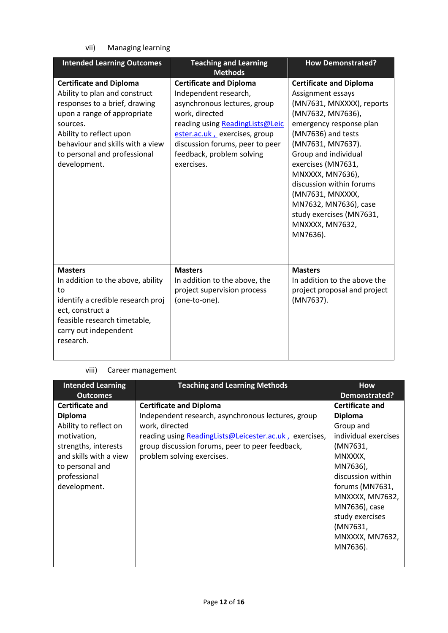vii) Managing learning

| <b>Intended Learning Outcomes</b>                                                                                                                                                                                                                          | <b>Teaching and Learning</b>                                                                                                                                                                                                                                | <b>How Demonstrated?</b>                                                                                                                                                                                                                                                                                                                                                          |
|------------------------------------------------------------------------------------------------------------------------------------------------------------------------------------------------------------------------------------------------------------|-------------------------------------------------------------------------------------------------------------------------------------------------------------------------------------------------------------------------------------------------------------|-----------------------------------------------------------------------------------------------------------------------------------------------------------------------------------------------------------------------------------------------------------------------------------------------------------------------------------------------------------------------------------|
|                                                                                                                                                                                                                                                            | <b>Methods</b>                                                                                                                                                                                                                                              |                                                                                                                                                                                                                                                                                                                                                                                   |
| <b>Certificate and Diploma</b><br>Ability to plan and construct<br>responses to a brief, drawing<br>upon a range of appropriate<br>sources.<br>Ability to reflect upon<br>behaviour and skills with a view<br>to personal and professional<br>development. | <b>Certificate and Diploma</b><br>Independent research,<br>asynchronous lectures, group<br>work, directed<br>reading using ReadingLists@Leic<br>ester.ac.uk, exercises, group<br>discussion forums, peer to peer<br>feedback, problem solving<br>exercises. | <b>Certificate and Diploma</b><br>Assignment essays<br>(MN7631, MNXXXX), reports<br>(MN7632, MN7636),<br>emergency response plan<br>(MN7636) and tests<br>(MN7631, MN7637).<br>Group and individual<br>exercises (MN7631,<br>MNXXXX, MN7636),<br>discussion within forums<br>(MN7631, MNXXXX,<br>MN7632, MN7636), case<br>study exercises (MN7631,<br>MNXXXX, MN7632,<br>MN7636). |
| <b>Masters</b><br>In addition to the above, ability<br>to<br>identify a credible research proj<br>ect, construct a<br>feasible research timetable,<br>carry out independent<br>research.                                                                   | <b>Masters</b><br>In addition to the above, the<br>project supervision process<br>(one-to-one).                                                                                                                                                             | <b>Masters</b><br>In addition to the above the<br>project proposal and project<br>(MN7637).                                                                                                                                                                                                                                                                                       |

# viii) Career management

| <b>Intended Learning</b> | <b>Teaching and Learning Methods</b>                   | <b>How</b>             |
|--------------------------|--------------------------------------------------------|------------------------|
| <b>Outcomes</b>          |                                                        | Demonstrated?          |
| <b>Certificate and</b>   | <b>Certificate and Diploma</b>                         | <b>Certificate and</b> |
| <b>Diploma</b>           | Independent research, asynchronous lectures, group     | <b>Diploma</b>         |
| Ability to reflect on    | work, directed                                         | Group and              |
| motivation,              | reading using ReadingLists@Leicester.ac.uk, exercises, | individual exercises   |
| strengths, interests     | group discussion forums, peer to peer feedback,        | (MN7631,               |
| and skills with a view   | problem solving exercises.                             | MNXXXX,                |
| to personal and          |                                                        | MN7636),               |
| professional             |                                                        | discussion within      |
| development.             |                                                        | forums (MN7631,        |
|                          |                                                        | MNXXXX, MN7632,        |
|                          |                                                        | MN7636), case          |
|                          |                                                        | study exercises        |
|                          |                                                        | (MN7631,               |
|                          |                                                        | MNXXXX, MN7632,        |
|                          |                                                        | MN7636).               |
|                          |                                                        |                        |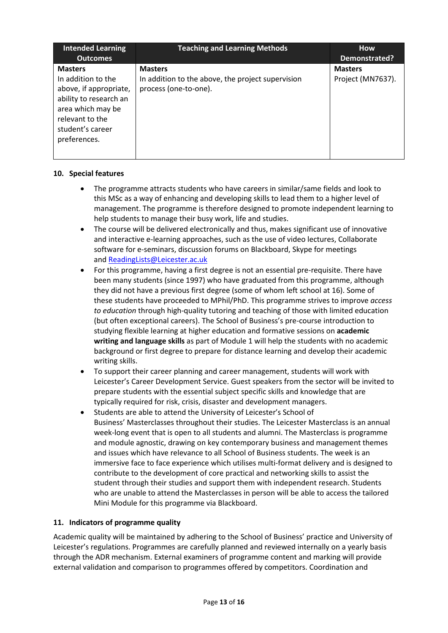| <b>Intended Learning</b><br><b>Outcomes</b>                                                                                                                          | <b>Teaching and Learning Methods</b>                                                         | <b>How</b><br>Demonstrated?         |
|----------------------------------------------------------------------------------------------------------------------------------------------------------------------|----------------------------------------------------------------------------------------------|-------------------------------------|
| <b>Masters</b><br>In addition to the<br>above, if appropriate,<br>ability to research an<br>area which may be<br>relevant to the<br>student's career<br>preferences. | <b>Masters</b><br>In addition to the above, the project supervision<br>process (one-to-one). | <b>Masters</b><br>Project (MN7637). |

# **10. Special features**

- The programme attracts students who have careers in similar/same fields and look to this MSc as a way of enhancing and developing skills to lead them to a higher level of management. The programme is therefore designed to promote independent learning to help students to manage their busy work, life and studies.
- The course will be delivered electronically and thus, makes significant use of innovative and interactive e-learning approaches, such as the use of video lectures, Collaborate software for e-seminars, discussion forums on Blackboard, Skype for meetings and [ReadingLists@Leicester.ac.uk](mailto:ReadingLists@Leicester.ac.uk)
- For this programme, having a first degree is not an essential pre-requisite. There have been many students (since 1997) who have graduated from this programme, although they did not have a previous first degree (some of whom left school at 16). Some of these students have proceeded to MPhil/PhD. This programme strives to improve *access to education* through high-quality tutoring and teaching of those with limited education (but often exceptional careers). The School of Business's pre-course introduction to studying flexible learning at higher education and formative sessions on **academic writing and language skills** as part of Module 1 will help the students with no academic background or first degree to prepare for distance learning and develop their academic writing skills.
- To support their career planning and career management, students will work with Leicester's Career Development Service. Guest speakers from the sector will be invited to prepare students with the essential subject specific skills and knowledge that are typically required for risk, crisis, disaster and development managers.
- Students are able to attend the University of Leicester's School of Business' Masterclasses throughout their studies. The Leicester Masterclass is an annual week-long event that is open to all students and alumni. The Masterclass is programme and module agnostic, drawing on key contemporary business and management themes and issues which have relevance to all School of Business students. The week is an immersive face to face experience which utilises multi-format delivery and is designed to contribute to the development of core practical and networking skills to assist the student through their studies and support them with independent research. Students who are unable to attend the Masterclasses in person will be able to access the tailored Mini Module for this programme via Blackboard.

# **11. Indicators of programme quality**

Academic quality will be maintained by adhering to the School of Business' practice and University of Leicester's regulations. Programmes are carefully planned and reviewed internally on a yearly basis through the ADR mechanism. External examiners of programme content and marking will provide external validation and comparison to programmes offered by competitors. Coordination and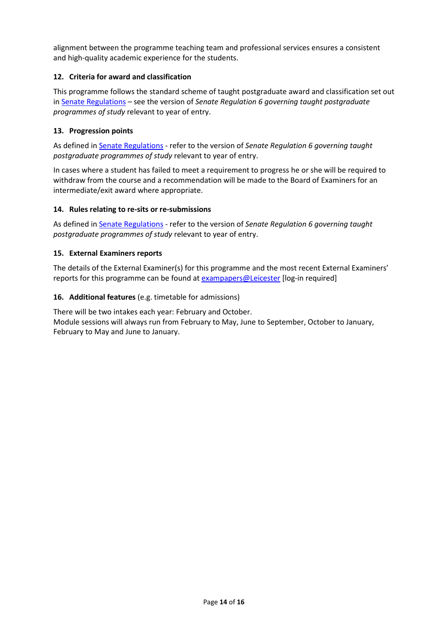alignment between the programme teaching team and professional services ensures a consistent and high-quality academic experience for the students.

# **12. Criteria for award and classification**

This programme follows the standard scheme of taught postgraduate award and classification set out i[n Senate Regulations](http://www.le.ac.uk/senate-regulations) – see the version of *Senate Regulation 6 governing taught postgraduate programmes of study* relevant to year of entry.

### **13. Progression points**

As defined i[n Senate Regulations](http://www.le.ac.uk/senate-regulation6) - refer to the version of *Senate Regulation 6 governing taught postgraduate programmes of study* relevant to year of entry.

In cases where a student has failed to meet a requirement to progress he or she will be required to withdraw from the course and a recommendation will be made to the Board of Examiners for an intermediate/exit award where appropriate.

#### **14. Rules relating to re-sits or re-submissions**

As defined i[n Senate Regulations](http://www.le.ac.uk/senate-regulation6) - refer to the version of *Senate Regulation 6 governing taught postgraduate programmes of study* relevant to year of entry.

# **15. External Examiners reports**

The details of the External Examiner(s) for this programme and the most recent External Examiners' reports for this programme can be found at [exampapers@Leicester](https://exampapers.le.ac.uk/) [log-in required]

# **16. Additional features** (e.g. timetable for admissions)

There will be two intakes each year: February and October. Module sessions will always run from February to May, June to September, October to January, February to May and June to January.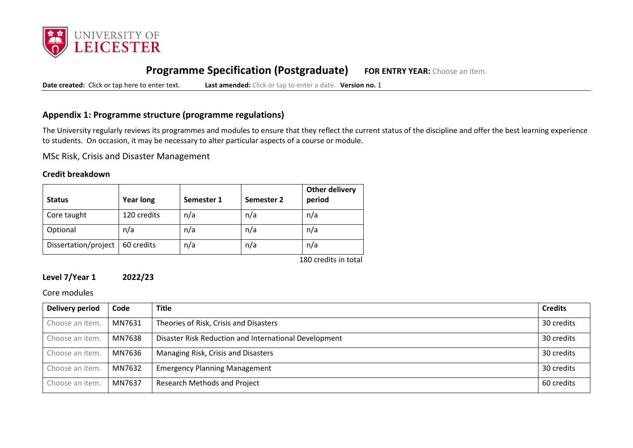

# **Programme Specification (Postgraduate) FOR ENTRY YEAR:** Choose an item.

**Date created:** Click or tap here to enter text. **Last amended:** Click or tap to enter a date. **Version no.** 1

# **Appendix 1: Programme structure (programme regulations)**

The University regularly reviews its programmes and modules to ensure that they reflect the current status of the discipline and offer the best learning experience to students. On occasion, it may be necessary to alter particular aspects of a course or module.

MSc Risk, Crisis and Disaster Management

# **Credit breakdown**

| <b>Status</b>        | <b>Year long</b> | Semester 1 | Semester 2 | <b>Other delivery</b><br>period |
|----------------------|------------------|------------|------------|---------------------------------|
| Core taught          | 120 credits      | n/a        | n/a        | n/a                             |
| Optional             | n/a              | n/a        | n/a        | n/a                             |
| Dissertation/project | 60 credits       | n/a        | n/a        | n/a                             |
|                      |                  |            |            | 180 credits in total            |

# **Level 7/Year 1 2022/23**

Core modules

| Delivery period | Code   | <b>Title</b>                                          | <b>Credits</b> |
|-----------------|--------|-------------------------------------------------------|----------------|
| Choose an item. | MN7631 | Theories of Risk, Crisis and Disasters                | 30 credits     |
| Choose an item. | MN7638 | Disaster Risk Reduction and International Development | 30 credits     |
| Choose an item. | MN7636 | Managing Risk, Crisis and Disasters                   | 30 credits     |
| Choose an item. | MN7632 | <b>Emergency Planning Management</b>                  | 30 credits     |
| Choose an item. | MN7637 | <b>Research Methods and Project</b>                   | 60 credits     |